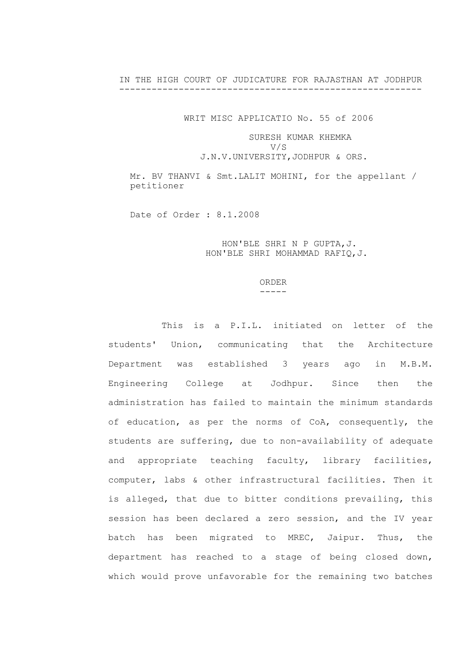IN THE HIGH COURT OF JUDICATURE FOR RAJASTHAN AT JODHPUR --------------------------------------------------------

WRIT MISC APPLICATIO No. 55 of 2006

## SURESH KUMAR KHEMKA V/S

J.N.V.UNIVERSITY,JODHPUR & ORS.

Mr. BV THANVI & Smt. LALIT MOHINI, for the appellant / petitioner

Date of Order : 8.1.2008

 HON'BLE SHRI N P GUPTA,J. HON'BLE SHRI MOHAMMAD RAFIQ,J.

## ORDER  $----$

This is a P.I.L. initiated on letter of the students' Union, communicating that the Architecture Department was established 3 years ago in M.B.M. Engineering College at Jodhpur. Since then the administration has failed to maintain the minimum standards of education, as per the norms of CoA, consequently, the students are suffering, due to non-availability of adequate and appropriate teaching faculty, library facilities, computer, labs & other infrastructural facilities. Then it is alleged, that due to bitter conditions prevailing, this session has been declared a zero session, and the IV year batch has been migrated to MREC, Jaipur. Thus, the department has reached to a stage of being closed down, which would prove unfavorable for the remaining two batches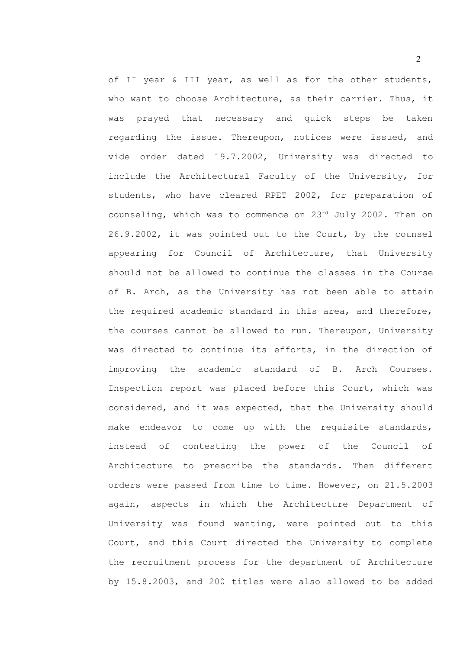of II year & III year, as well as for the other students, who want to choose Architecture, as their carrier. Thus, it was prayed that necessary and quick steps be taken regarding the issue. Thereupon, notices were issued, and vide order dated 19.7.2002, University was directed to include the Architectural Faculty of the University, for students, who have cleared RPET 2002, for preparation of counseling, which was to commence on  $23^{rd}$  July 2002. Then on 26.9.2002, it was pointed out to the Court, by the counsel appearing for Council of Architecture, that University should not be allowed to continue the classes in the Course of B. Arch, as the University has not been able to attain the required academic standard in this area, and therefore, the courses cannot be allowed to run. Thereupon, University was directed to continue its efforts, in the direction of improving the academic standard of B. Arch Courses. Inspection report was placed before this Court, which was considered, and it was expected, that the University should make endeavor to come up with the requisite standards, instead of contesting the power of the Council of Architecture to prescribe the standards. Then different orders were passed from time to time. However, on 21.5.2003 again, aspects in which the Architecture Department of University was found wanting, were pointed out to this Court, and this Court directed the University to complete the recruitment process for the department of Architecture by 15.8.2003, and 200 titles were also allowed to be added

2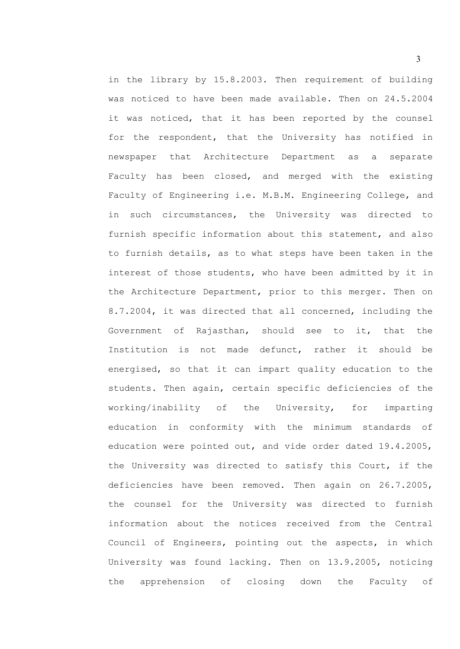in the library by 15.8.2003. Then requirement of building was noticed to have been made available. Then on 24.5.2004 it was noticed, that it has been reported by the counsel for the respondent, that the University has notified in newspaper that Architecture Department as a separate Faculty has been closed, and merged with the existing Faculty of Engineering i.e. M.B.M. Engineering College, and in such circumstances, the University was directed to furnish specific information about this statement, and also to furnish details, as to what steps have been taken in the interest of those students, who have been admitted by it in the Architecture Department, prior to this merger. Then on 8.7.2004, it was directed that all concerned, including the Government of Rajasthan, should see to it, that the Institution is not made defunct, rather it should be energised, so that it can impart quality education to the students. Then again, certain specific deficiencies of the working/inability of the University, for imparting education in conformity with the minimum standards of education were pointed out, and vide order dated 19.4.2005, the University was directed to satisfy this Court, if the deficiencies have been removed. Then again on 26.7.2005, the counsel for the University was directed to furnish information about the notices received from the Central Council of Engineers, pointing out the aspects, in which University was found lacking. Then on 13.9.2005, noticing the apprehension of closing down the Faculty of

3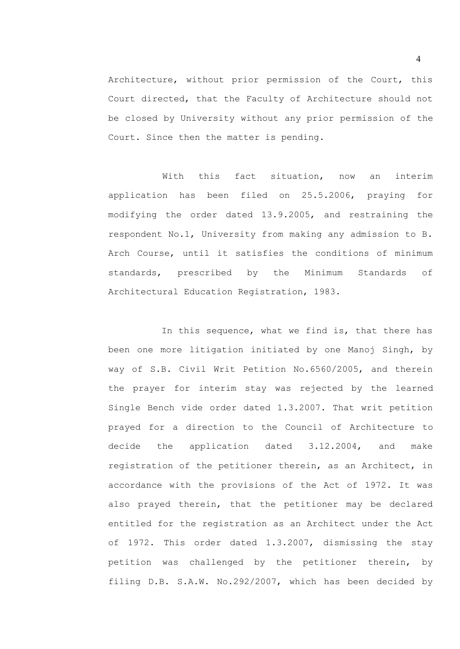Architecture, without prior permission of the Court, this Court directed, that the Faculty of Architecture should not be closed by University without any prior permission of the Court. Since then the matter is pending.

With this fact situation, now an interim application has been filed on 25.5.2006, praying for modifying the order dated 13.9.2005, and restraining the respondent No.1, University from making any admission to B. Arch Course, until it satisfies the conditions of minimum standards, prescribed by the Minimum Standards of Architectural Education Registration, 1983.

In this sequence, what we find is, that there has been one more litigation initiated by one Manoj Singh, by way of S.B. Civil Writ Petition No.6560/2005, and therein the prayer for interim stay was rejected by the learned Single Bench vide order dated 1.3.2007. That writ petition prayed for a direction to the Council of Architecture to decide the application dated 3.12.2004, and make registration of the petitioner therein, as an Architect, in accordance with the provisions of the Act of 1972. It was also prayed therein, that the petitioner may be declared entitled for the registration as an Architect under the Act of 1972. This order dated 1.3.2007, dismissing the stay petition was challenged by the petitioner therein, by filing D.B. S.A.W. No.292/2007, which has been decided by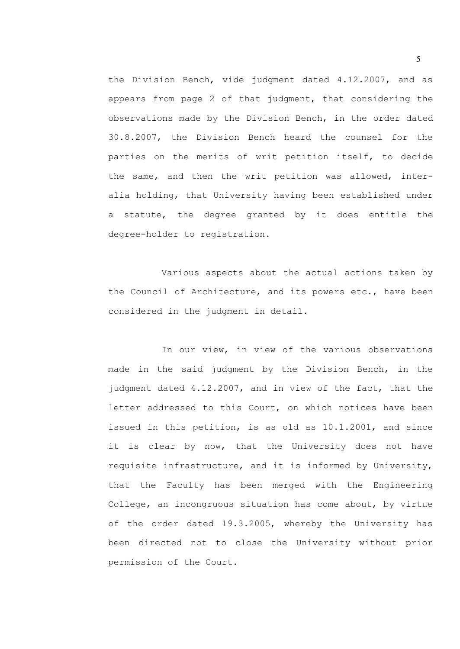the Division Bench, vide judgment dated 4.12.2007, and as appears from page 2 of that judgment, that considering the observations made by the Division Bench, in the order dated 30.8.2007, the Division Bench heard the counsel for the parties on the merits of writ petition itself, to decide the same, and then the writ petition was allowed, interalia holding, that University having been established under a statute, the degree granted by it does entitle the degree-holder to registration.

Various aspects about the actual actions taken by the Council of Architecture, and its powers etc., have been considered in the judgment in detail.

In our view, in view of the various observations made in the said judgment by the Division Bench, in the judgment dated 4.12.2007, and in view of the fact, that the letter addressed to this Court, on which notices have been issued in this petition, is as old as 10.1.2001, and since it is clear by now, that the University does not have requisite infrastructure, and it is informed by University, that the Faculty has been merged with the Engineering College, an incongruous situation has come about, by virtue of the order dated 19.3.2005, whereby the University has been directed not to close the University without prior permission of the Court.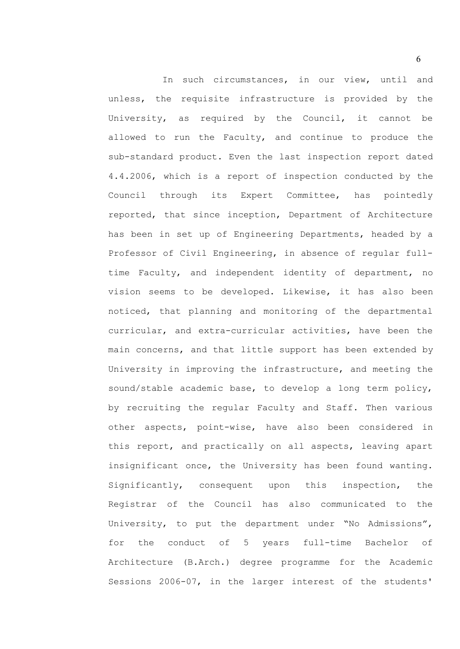In such circumstances, in our view, until and unless, the requisite infrastructure is provided by the University, as required by the Council, it cannot be allowed to run the Faculty, and continue to produce the sub-standard product. Even the last inspection report dated 4.4.2006, which is a report of inspection conducted by the Council through its Expert Committee, has pointedly reported, that since inception, Department of Architecture has been in set up of Engineering Departments, headed by a Professor of Civil Engineering, in absence of regular fulltime Faculty, and independent identity of department, no vision seems to be developed. Likewise, it has also been noticed, that planning and monitoring of the departmental curricular, and extra-curricular activities, have been the main concerns, and that little support has been extended by University in improving the infrastructure, and meeting the sound/stable academic base, to develop a long term policy, by recruiting the regular Faculty and Staff. Then various other aspects, point-wise, have also been considered in this report, and practically on all aspects, leaving apart insignificant once, the University has been found wanting. Significantly, consequent upon this inspection, the Registrar of the Council has also communicated to the University, to put the department under "No Admissions", for the conduct of 5 years full-time Bachelor of Architecture (B.Arch.) degree programme for the Academic Sessions 2006-07, in the larger interest of the students'

6